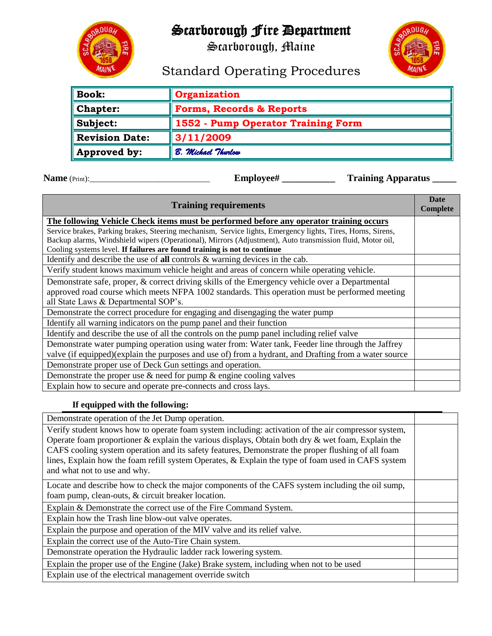# Scarborough Fire Department

Scarborough, Maine



## Standard Operating Procedures

| <b>Book:</b>            | Organization                        |
|-------------------------|-------------------------------------|
| $\blacksquare$ Chapter: | <b>Forms, Records &amp; Reports</b> |
| Subject:                | 1552 - Pump Operator Training Form  |
| Revision Date:          | $\parallel$ 3/11/2009               |
| Approved by:            | B. Michael Thurlow                  |

**Name** (Print): \_\_\_\_\_\_\_\_\_\_\_\_\_\_\_\_\_\_\_\_\_\_\_\_\_\_\_\_\_\_\_\_\_\_\_ **Employee#** \_\_\_\_\_\_\_\_\_\_\_\_\_ Training Apparatus \_\_\_\_\_\_

| <b>Training requirements</b>                                                                                |  |  |  |  |
|-------------------------------------------------------------------------------------------------------------|--|--|--|--|
| The following Vehicle Check items must be performed before any operator training occurs                     |  |  |  |  |
| Service brakes, Parking brakes, Steering mechanism, Service lights, Emergency lights, Tires, Horns, Sirens, |  |  |  |  |
| Backup alarms, Windshield wipers (Operational), Mirrors (Adjustment), Auto transmission fluid, Motor oil,   |  |  |  |  |
| Cooling systems level. If failures are found training is not to continue                                    |  |  |  |  |
| Identify and describe the use of all controls $&$ warning devices in the cab.                               |  |  |  |  |
| Verify student knows maximum vehicle height and areas of concern while operating vehicle.                   |  |  |  |  |
| Demonstrate safe, proper, & correct driving skills of the Emergency vehicle over a Departmental             |  |  |  |  |
| approved road course which meets NFPA 1002 standards. This operation must be performed meeting              |  |  |  |  |
| all State Laws & Departmental SOP's.                                                                        |  |  |  |  |
| Demonstrate the correct procedure for engaging and disengaging the water pump                               |  |  |  |  |
| Identify all warning indicators on the pump panel and their function                                        |  |  |  |  |
| Identify and describe the use of all the controls on the pump panel including relief valve                  |  |  |  |  |
| Demonstrate water pumping operation using water from: Water tank, Feeder line through the Jaffrey           |  |  |  |  |
| valve (if equipped)(explain the purposes and use of) from a hydrant, and Drafting from a water source       |  |  |  |  |
| Demonstrate proper use of Deck Gun settings and operation.                                                  |  |  |  |  |
| Demonstrate the proper use $\&$ need for pump $\&$ engine cooling valves                                    |  |  |  |  |
| Explain how to secure and operate pre-connects and cross lays.                                              |  |  |  |  |

#### **If equipped with the following:**

Demonstrate operation of the Jet Dump operation.

Verify student knows how to operate foam system including: activation of the air compressor system, Operate foam proportioner  $&$  explain the various displays, Obtain both dry  $&$  wet foam, Explain the CAFS cooling system operation and its safety features, Demonstrate the proper flushing of all foam lines, Explain how the foam refill system Operates, & Explain the type of foam used in CAFS system and what not to use and why.

Locate and describe how to check the major components of the CAFS system including the oil sump, foam pump, clean-outs, & circuit breaker location.

Explain & Demonstrate the correct use of the Fire Command System.

Explain how the Trash line blow-out valve operates.

Explain the purpose and operation of the MIV valve and its relief valve.

Explain the correct use of the Auto-Tire Chain system.

Demonstrate operation the Hydraulic ladder rack lowering system.

Explain the proper use of the Engine (Jake) Brake system, including when not to be used Explain use of the electrical management override switch